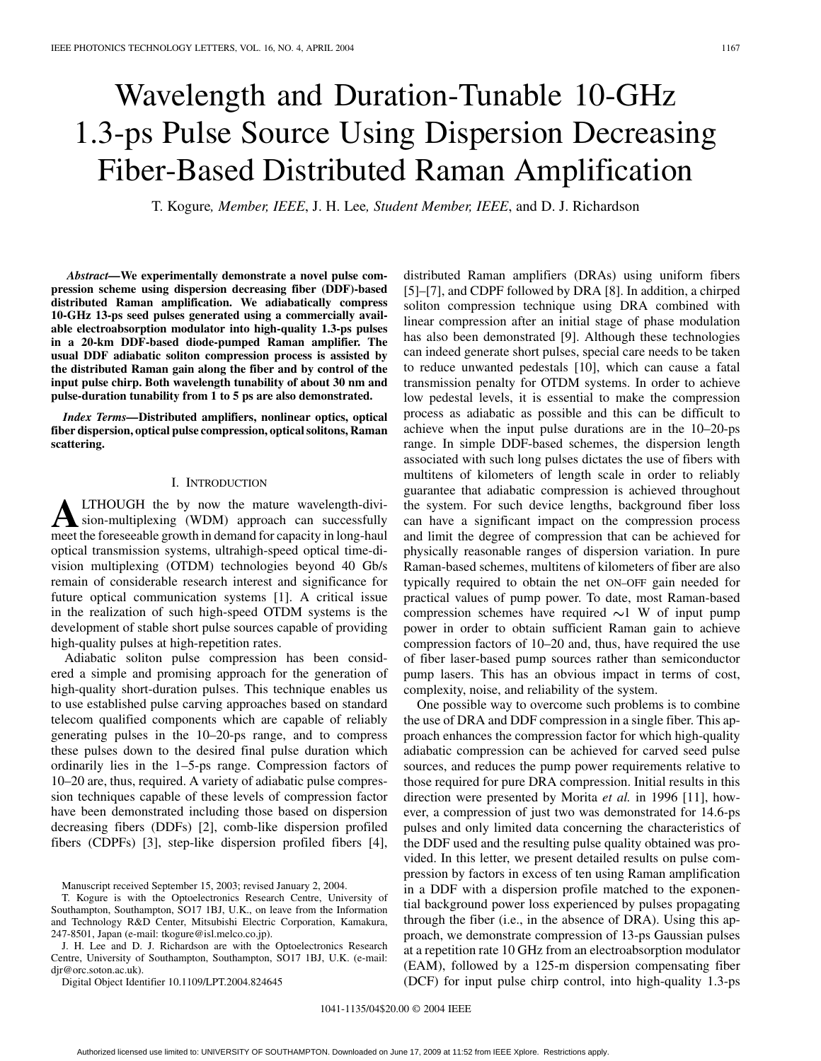# Wavelength and Duration-Tunable 10-GHz 1.3-ps Pulse Source Using Dispersion Decreasing Fiber-Based Distributed Raman Amplification

T. Kogure*, Member, IEEE*, J. H. Lee*, Student Member, IEEE*, and D. J. Richardson

*Abstract—***We experimentally demonstrate a novel pulse compression scheme using dispersion decreasing fiber (DDF)-based distributed Raman amplification. We adiabatically compress 10-GHz 13-ps seed pulses generated using a commercially available electroabsorption modulator into high-quality 1.3-ps pulses in a 20-km DDF-based diode-pumped Raman amplifier. The usual DDF adiabatic soliton compression process is assisted by the distributed Raman gain along the fiber and by control of the input pulse chirp. Both wavelength tunability of about 30 nm and pulse-duration tunability from 1 to 5 ps are also demonstrated.**

*Index Terms—***Distributed amplifiers, nonlinear optics, optical fiber dispersion, optical pulse compression, optical solitons, Raman scattering.**

# I. INTRODUCTION

**ALTHOUGH** the by now the mature wavelength-division-multiplexing (WDM) approach can successfully meet the foreseeable growth in demand for capacity in long-haul optical transmission systems, ultrahigh-speed optical time-division multiplexing (OTDM) technologies beyond 40 Gb/s remain of considerable research interest and significance for future optical communication systems [\[1](#page-2-0)]. A critical issue in the realization of such high-speed OTDM systems is the development of stable short pulse sources capable of providing high-quality pulses at high-repetition rates.

Adiabatic soliton pulse compression has been considered a simple and promising approach for the generation of high-quality short-duration pulses. This technique enables us to use established pulse carving approaches based on standard telecom qualified components which are capable of reliably generating pulses in the 10–20-ps range, and to compress these pulses down to the desired final pulse duration which ordinarily lies in the 1–5-ps range. Compression factors of 10–20 are, thus, required. A variety of adiabatic pulse compression techniques capable of these levels of compression factor have been demonstrated including those based on dispersion decreasing fibers (DDFs) [\[2](#page-2-0)], comb-like dispersion profiled fibers (CDPFs) [[3\]](#page-2-0), step-like dispersion profiled fibers [\[4](#page-2-0)],

Manuscript received September 15, 2003; revised January 2, 2004.

T. Kogure is with the Optoelectronics Research Centre, University of Southampton, Southampton, SO17 1BJ, U.K., on leave from the Information and Technology R&D Center, Mitsubishi Electric Corporation, Kamakura, 247-8501, Japan (e-mail: tkogure@isl.melco.co.jp).

J. H. Lee and D. J. Richardson are with the Optoelectronics Research Centre, University of Southampton, Southampton, SO17 1BJ, U.K. (e-mail: dir@orc.soton.ac.uk).

Digital Object Identifier 10.1109/LPT.2004.824645

distributed Raman amplifiers (DRAs) using uniform fibers [\[5](#page-2-0)]–[\[7](#page-2-0)], and CDPF followed by DRA [\[8](#page-2-0)]. In addition, a chirped soliton compression technique using DRA combined with linear compression after an initial stage of phase modulation has also been demonstrated [[9](#page-2-0)]. Although these technologies can indeed generate short pulses, special care needs to be taken to reduce unwanted pedestals [[10\]](#page-2-0), which can cause a fatal transmission penalty for OTDM systems. In order to achieve low pedestal levels, it is essential to make the compression process as adiabatic as possible and this can be difficult to achieve when the input pulse durations are in the 10–20-ps range. In simple DDF-based schemes, the dispersion length associated with such long pulses dictates the use of fibers with multitens of kilometers of length scale in order to reliably guarantee that adiabatic compression is achieved throughout the system. For such device lengths, background fiber loss can have a significant impact on the compression process and limit the degree of compression that can be achieved for physically reasonable ranges of dispersion variation. In pure Raman-based schemes, multitens of kilometers of fiber are also typically required to obtain the net ON–OFF gain needed for practical values of pump power. To date, most Raman-based compression schemes have required  $\sim$ 1 W of input pump power in order to obtain sufficient Raman gain to achieve compression factors of 10–20 and, thus, have required the use of fiber laser-based pump sources rather than semiconductor pump lasers. This has an obvious impact in terms of cost, complexity, noise, and reliability of the system.

One possible way to overcome such problems is to combine the use of DRA and DDF compression in a single fiber. This approach enhances the compression factor for which high-quality adiabatic compression can be achieved for carved seed pulse sources, and reduces the pump power requirements relative to those required for pure DRA compression. Initial results in this direction were presented by Morita *et al.* in 1996 [[11\]](#page-2-0), however, a compression of just two was demonstrated for 14.6-ps pulses and only limited data concerning the characteristics of the DDF used and the resulting pulse quality obtained was provided. In this letter, we present detailed results on pulse compression by factors in excess of ten using Raman amplification in a DDF with a dispersion profile matched to the exponential background power loss experienced by pulses propagating through the fiber (i.e., in the absence of DRA). Using this approach, we demonstrate compression of 13-ps Gaussian pulses at a repetition rate 10 GHz from an electroabsorption modulator (EAM), followed by a 125-m dispersion compensating fiber (DCF) for input pulse chirp control, into high-quality 1.3-ps

1041-1135/04\$20.00 © 2004 IEEE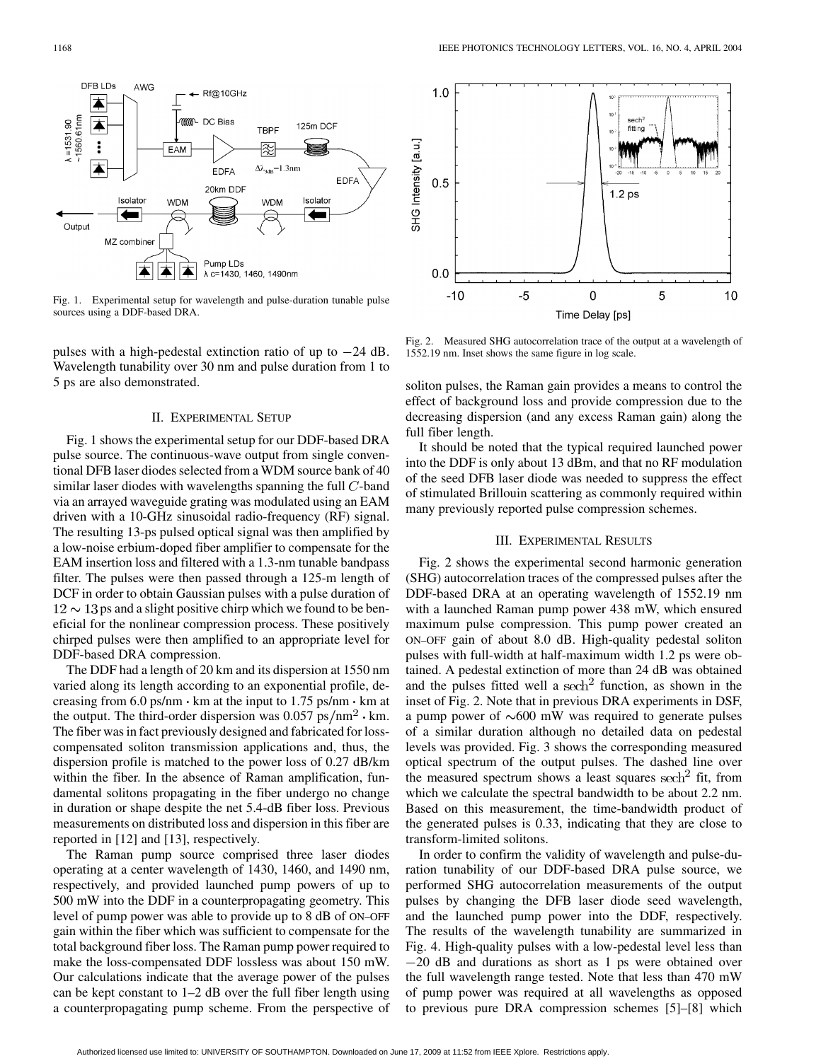

Fig. 1. Experimental setup for wavelength and pulse-duration tunable pulse sources using a DDF-based DRA.

pulses with a high-pedestal extinction ratio of up to  $-24$  dB. Wavelength tunability over 30 nm and pulse duration from 1 to 5 ps are also demonstrated.

### II. EXPERIMENTAL SETUP

Fig. 1 shows the experimental setup for our DDF-based DRA pulse source. The continuous-wave output from single conventional DFB laser diodes selected from a WDM source bank of 40 similar laser diodes with wavelengths spanning the full  $C$ -band via an arrayed waveguide grating was modulated using an EAM driven with a 10-GHz sinusoidal radio-frequency (RF) signal. The resulting 13-ps pulsed optical signal was then amplified by a low-noise erbium-doped fiber amplifier to compensate for the EAM insertion loss and filtered with a 1.3-nm tunable bandpass filter. The pulses were then passed through a 125-m length of DCF in order to obtain Gaussian pulses with a pulse duration of  $12 \sim 13$  ps and a slight positive chirp which we found to be beneficial for the nonlinear compression process. These positively chirped pulses were then amplified to an appropriate level for DDF-based DRA compression.

The DDF had a length of 20 km and its dispersion at 1550 nm varied along its length according to an exponential profile, decreasing from 6.0 ps/nm  $\cdot$  km at the input to 1.75 ps/nm  $\cdot$  km at the output. The third-order dispersion was  $0.057 \text{ ps/mm}^2 \cdot \text{km}$ . The fiber was in fact previously designed and fabricated for losscompensated soliton transmission applications and, thus, the dispersion profile is matched to the power loss of 0.27 dB/km within the fiber. In the absence of Raman amplification, fundamental solitons propagating in the fiber undergo no change in duration or shape despite the net 5.4-dB fiber loss. Previous measurements on distributed loss and dispersion in this fiber are reported in [\[12](#page-2-0)] and [[13\]](#page-2-0), respectively.

The Raman pump source comprised three laser diodes operating at a center wavelength of 1430, 1460, and 1490 nm, respectively, and provided launched pump powers of up to 500 mW into the DDF in a counterpropagating geometry. This level of pump power was able to provide up to 8 dB of ON–OFF gain within the fiber which was sufficient to compensate for the total background fiber loss. The Raman pump power required to make the loss-compensated DDF lossless was about 150 mW. Our calculations indicate that the average power of the pulses can be kept constant to  $1-2$  dB over the full fiber length using a counterpropagating pump scheme. From the perspective of



Fig. 2. Measured SHG autocorrelation trace of the output at a wavelength of 1552.19 nm. Inset shows the same figure in log scale.

soliton pulses, the Raman gain provides a means to control the effect of background loss and provide compression due to the decreasing dispersion (and any excess Raman gain) along the full fiber length.

It should be noted that the typical required launched power into the DDF is only about 13 dBm, and that no RF modulation of the seed DFB laser diode was needed to suppress the effect of stimulated Brillouin scattering as commonly required within many previously reported pulse compression schemes.

#### III. EXPERIMENTAL RESULTS

Fig. 2 shows the experimental second harmonic generation (SHG) autocorrelation traces of the compressed pulses after the DDF-based DRA at an operating wavelength of 1552.19 nm with a launched Raman pump power 438 mW, which ensured maximum pulse compression. This pump power created an ON–OFF gain of about 8.0 dB. High-quality pedestal soliton pulses with full-width at half-maximum width 1.2 ps were obtained. A pedestal extinction of more than 24 dB was obtained and the pulses fitted well a  $\mathrm{sech}^2$  function, as shown in the inset of Fig. 2. Note that in previous DRA experiments in DSF, a pump power of  $\sim 600$  mW was required to generate pulses of a similar duration although no detailed data on pedestal levels was provided. Fig. 3 shows the corresponding measured optical spectrum of the output pulses. The dashed line over the measured spectrum shows a least squares  $\mathrm{sech}^2$  fit, from which we calculate the spectral bandwidth to be about 2.2 nm. Based on this measurement, the time-bandwidth product of the generated pulses is 0.33, indicating that they are close to transform-limited solitons.

In order to confirm the validity of wavelength and pulse-duration tunability of our DDF-based DRA pulse source, we performed SHG autocorrelation measurements of the output pulses by changing the DFB laser diode seed wavelength, and the launched pump power into the DDF, respectively. The results of the wavelength tunability are summarized in Fig. 4. High-quality pulses with a low-pedestal level less than 20 dB and durations as short as 1 ps were obtained over the full wavelength range tested. Note that less than 470 mW of pump power was required at all wavelengths as opposed to previous pure DRA compression schemes [[5\]](#page-2-0)–[\[8](#page-2-0)] which